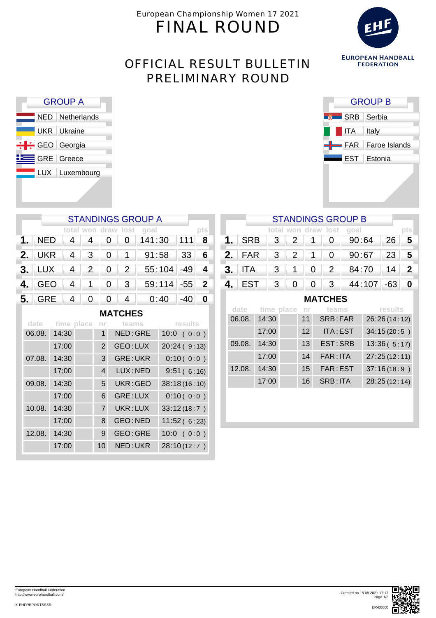European Championship Women 17 2021 FINAL ROUND



# OFFICIAL RESULT BULLETIN PRELIMINARY ROUND

| <b>GROUP A</b>  |                    |  |  |  |  |  |  |
|-----------------|--------------------|--|--|--|--|--|--|
|                 | NED Netherlands    |  |  |  |  |  |  |
|                 | <b>UKR</b> Ukraine |  |  |  |  |  |  |
| +++ GEO Georgia |                    |  |  |  |  |  |  |
|                 | GRE Greece         |  |  |  |  |  |  |
|                 | LUX Luxembourg     |  |  |  |  |  |  |
|                 |                    |  |  |  |  |  |  |

| <b>GROUP B</b>    |                          |  |  |  |  |  |  |
|-------------------|--------------------------|--|--|--|--|--|--|
|                   | SRB Serbia               |  |  |  |  |  |  |
| $\overline{I}$ TA | Italy                    |  |  |  |  |  |  |
|                   | <b>FAR</b> Faroe Islands |  |  |  |  |  |  |
|                   | <b>EST</b> Estonia       |  |  |  |  |  |  |
|                   |                          |  |  |  |  |  |  |

#### STANDINGS GROUP B

|  |  |  | total won draw lost goal                                                                                                                                                |  |
|--|--|--|-------------------------------------------------------------------------------------------------------------------------------------------------------------------------|--|
|  |  |  | <b>1.</b> SRB $\begin{array}{ c c c c c c } \hline \textbf{3} & \textbf{2} & \textbf{1} & \textbf{0} & \textbf{90:64} & \textbf{26} & \textbf{5} \\ \hline \end{array}$ |  |
|  |  |  | 2. FAR 3 2 1 0 90:67 23 5                                                                                                                                               |  |
|  |  |  | <b>3.</b> ITA 3 1 0 2 84:70 14 2                                                                                                                                        |  |
|  |  |  | 4. EST 3 0 0 3 44:107 -63 0                                                                                                                                             |  |

**MATCHES**

| date   | time place nr |    | teams    | results      |
|--------|---------------|----|----------|--------------|
| 06.08. | 14:30         | 11 | SRB:FAR  | 26:26(14:12) |
|        | 17:00         | 12 | ITA: EST | 34:15(20:5)  |
| 09.08. | 14:30         | 13 | EST: SRB | 13:36(5:17)  |
|        | 17:00         | 14 | FAR: ITA | 27:25(12:11) |
| 12.08. | 14:30         | 15 | FAR: EST | 37:16(18:9)  |
|        | 17:00         | 16 | SRB: ITA | 28:25(12:14) |

| <b>STANDINGS GROUP A</b> |  |  |  |  |                                                                          |  |              |  |  |
|--------------------------|--|--|--|--|--------------------------------------------------------------------------|--|--------------|--|--|
|                          |  |  |  |  | total won draw lost goal                                                 |  |              |  |  |
|                          |  |  |  |  | 1. NED $4 \mid 4 \mid 0 \mid 0 \mid 141:30$ 111 8                        |  |              |  |  |
|                          |  |  |  |  | 2. UKR 4 3 0 1 91:58 33 6                                                |  |              |  |  |
|                          |  |  |  |  | <b>3.</b> $LUX$ 4 2 0 2 55:104 -49 4                                     |  |              |  |  |
|                          |  |  |  |  | 4. GEO   4   1   0   3   59:114 -55 2                                    |  |              |  |  |
|                          |  |  |  |  | <b>5.</b> GRE $\begin{array}{ c c c c c c } \hline \end{array}$ 6.40 -40 |  | $\mathbf{0}$ |  |  |
| MATCUES                  |  |  |  |  |                                                                          |  |              |  |  |

| MAIUIILJ |            |                |                 |               |  |  |  |  |  |
|----------|------------|----------------|-----------------|---------------|--|--|--|--|--|
| date     | time place | nr.            | teams           | results       |  |  |  |  |  |
| 06.08.   | 14:30      | 1              | NED: GRE        | 10:0<br>(0:0) |  |  |  |  |  |
|          | 17:00      | $\overline{2}$ | GEO: LUX        | 20:24(9:13)   |  |  |  |  |  |
| 07.08.   | 14:30      | 3              | <b>GRE: UKR</b> | 0:10(0:0)     |  |  |  |  |  |
|          | 17:00      | 4              | LUX: NED        | 9:51(6:16)    |  |  |  |  |  |
| 09.08.   | 14:30      | 5              | UKR: GEO        | 38:18(16:10)  |  |  |  |  |  |
|          | 17:00      | 6              | GRE: LUX        | 0:10(0:0)     |  |  |  |  |  |
| 10.08.   | 14:30      | $\overline{7}$ | UKR: LUX        | 33:12(18:7)   |  |  |  |  |  |
|          | 17:00      | 8              | <b>GEO:NED</b>  | 11:52(6:23)   |  |  |  |  |  |
| 12.08.   | 14:30      | 9              | GEO: GRE        | 10:0<br>(0:0) |  |  |  |  |  |
|          | 17:00      | 10             | NED: UKR        | 28:10 (12:7)  |  |  |  |  |  |



X-EHFREPORTSSSR

European Handball Federation http://www.eurohandball.com/